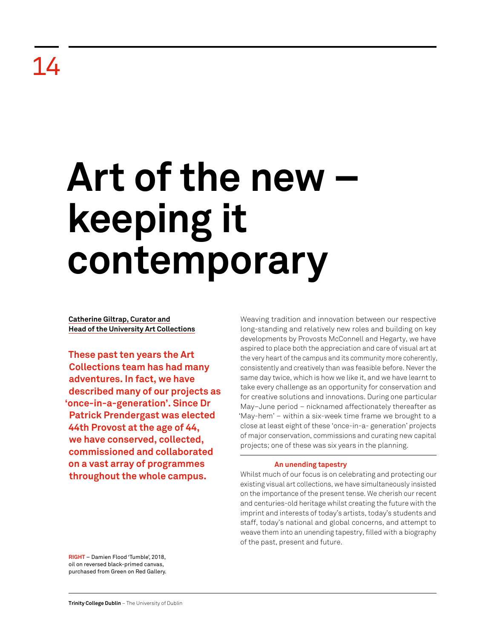## Art of the new **keeping it contemporary**

**Catherine Giltrap, Curator and Head of the University Art Collections**

**These past ten years the Art Collections team has had many adventures. In fact, we have described many of our projects as 'once-in-a-generation'. Since Dr Patrick Prendergast was elected 44th Provost at the age of 44, we have conserved, collected, commissioned and collaborated on a vast array of programmes throughout the whole campus.** 

Weaving tradition and innovation between our respective long-standing and relatively new roles and building on key developments by Provosts McConnell and Hegarty, we have aspired to place both the appreciation and care of visual art at the very heart of the campus and its community more coherently, consistently and creatively than was feasible before. Never the same day twice, which is how we like it, and we have learnt to take every challenge as an opportunity for conservation and for creative solutions and innovations. During one particular May–June period – nicknamed affectionately thereafter as 'May-hem' – within a six-week time frame we brought to a close at least eight of these 'once-in-a- generation' projects of major conservation, commissions and curating new capital projects; one of these was six years in the planning.

## **An unending tapestry**

Whilst much of our focus is on celebrating and protecting our existing visual art collections, we have simultaneously insisted on the importance of the present tense. We cherish our recent and centuries-old heritage whilst creating the future with the imprint and interests of today's artists, today's students and staff, today's national and global concerns, and attempt to weave them into an unending tapestry, filled with a biography of the past, present and future.

**RIGHT** – Damien Flood 'Tumble', 2018, oil on reversed black-primed canvas, purchased from Green on Red Gallery.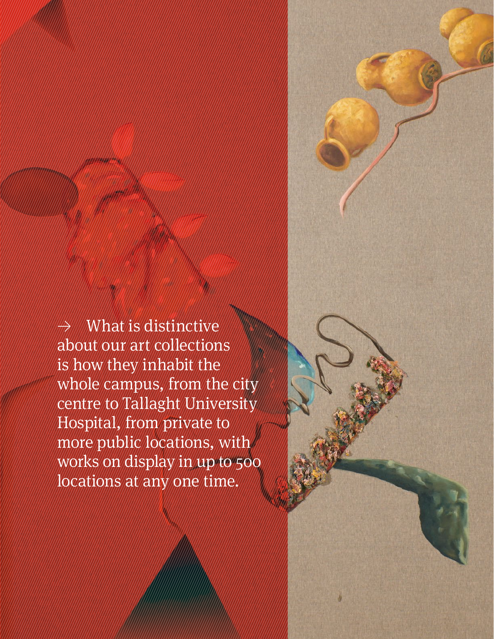$\rightarrow$  What is distinctive about our art collections is how they inhabit the whole campus, from the city centre to Tallaght University Hospital, from private to more public locations, with works on display in up to 500 locations at any one time.

**Retrospective Review** 2011–21 106 | 107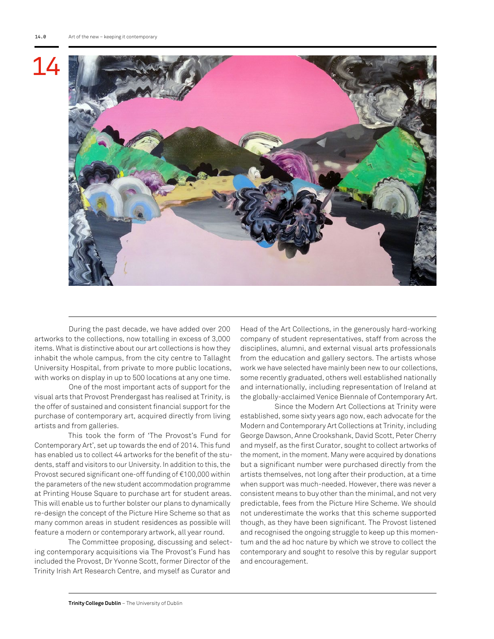

During the past decade, we have added over 200 artworks to the collections, now totalling in excess of 3,000 items. What is distinctive about our art collections is how they inhabit the whole campus, from the city centre to Tallaght University Hospital, from private to more public locations, with works on display in up to 500 locations at any one time.

One of the most important acts of support for the visual arts that Provost Prendergast has realised at Trinity, is the offer of sustained and consistent financial support for the purchase of contemporary art, acquired directly from living artists and from galleries.

This took the form of 'The Provost's Fund for Contemporary Art', set up towards the end of 2014. This fund has enabled us to collect 44 artworks for the benefit of the students, staff and visitors to our University. In addition to this, the Provost secured significant one-off funding of €100,000 within the parameters of the new student accommodation programme at Printing House Square to purchase art for student areas. This will enable us to further bolster our plans to dynamically re-design the concept of the Picture Hire Scheme so that as many common areas in student residences as possible will feature a modern or contemporary artwork, all year round.

The Committee proposing, discussing and selecting contemporary acquisitions via The Provost's Fund has included the Provost, Dr Yvonne Scott, former Director of the Trinity Irish Art Research Centre, and myself as Curator and

Head of the Art Collections, in the generously hard-working company of student representatives, staff from across the disciplines, alumni, and external visual arts professionals from the education and gallery sectors. The artists whose work we have selected have mainly been new to our collections, some recently graduated, others well established nationally and internationally, including representation of Ireland at the globally-acclaimed Venice Biennale of Contemporary Art.

Since the Modern Art Collections at Trinity were established, some sixty years ago now, each advocate for the Modern and Contemporary Art Collections at Trinity, including George Dawson, Anne Crookshank, David Scott, Peter Cherry and myself, as the first Curator, sought to collect artworks of the moment, in the moment. Many were acquired by donations but a significant number were purchased directly from the artists themselves, not long after their production, at a time when support was much-needed. However, there was never a consistent means to buy other than the minimal, and not very predictable, fees from the Picture Hire Scheme. We should not underestimate the works that this scheme supported though, as they have been significant. The Provost listened and recognised the ongoing struggle to keep up this momentum and the ad hoc nature by which we strove to collect the contemporary and sought to resolve this by regular support and encouragement.